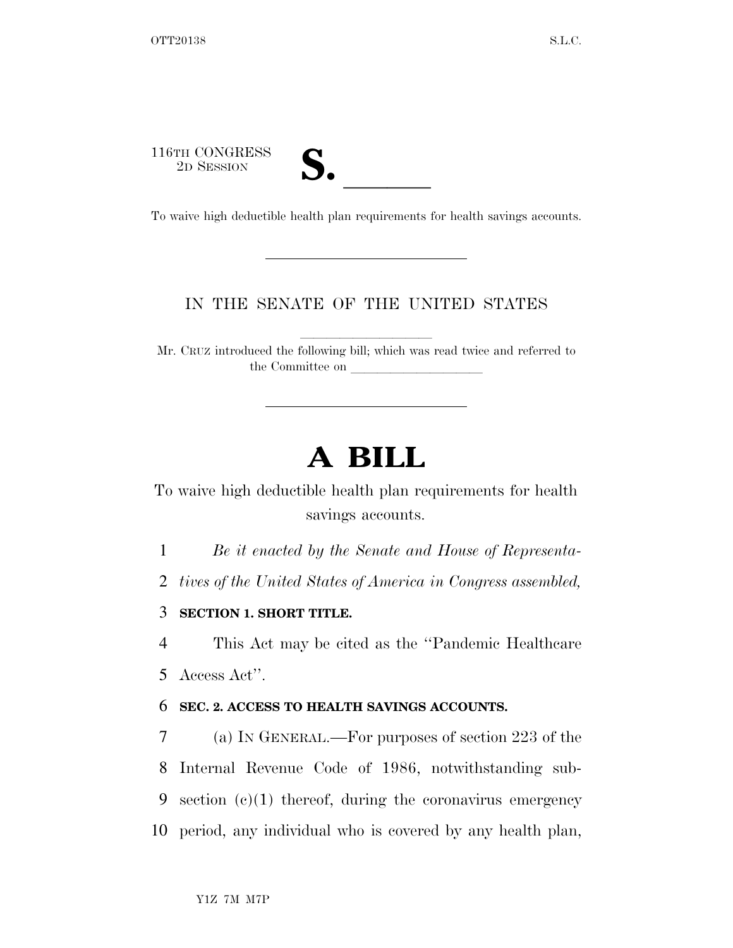116TH CONGRESS

| 7 € |  |
|-----|--|
|     |  |

116TH CONGRESS<br>
2D SESSION<br>
To waive high deductible health plan requirements for health savings accounts.

## IN THE SENATE OF THE UNITED STATES

Mr. CRUZ introduced the following bill; which was read twice and referred to the Committee on

## **A BILL**

To waive high deductible health plan requirements for health savings accounts.

1 *Be it enacted by the Senate and House of Representa-*

2 *tives of the United States of America in Congress assembled,* 

3 **SECTION 1. SHORT TITLE.** 

4 This Act may be cited as the ''Pandemic Healthcare 5 Access Act''.

## 6 **SEC. 2. ACCESS TO HEALTH SAVINGS ACCOUNTS.**

 (a) IN GENERAL.—For purposes of section 223 of the Internal Revenue Code of 1986, notwithstanding sub-9 section  $(c)(1)$  thereof, during the coronavirus emergency period, any individual who is covered by any health plan,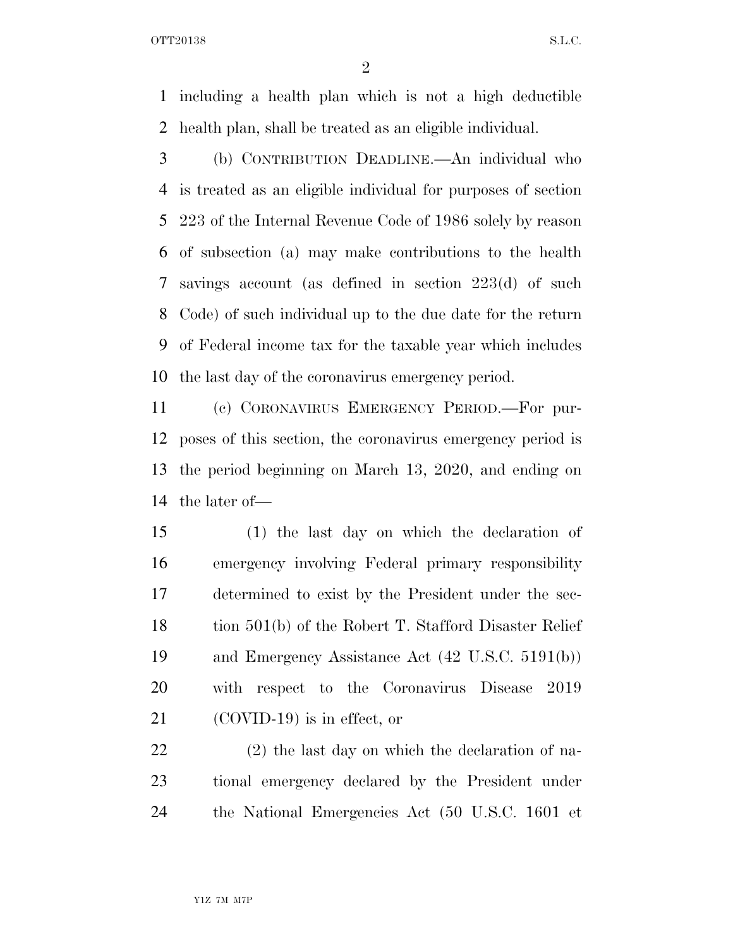OTT20138 S.L.C.

 including a health plan which is not a high deductible health plan, shall be treated as an eligible individual.

 (b) CONTRIBUTION DEADLINE.—An individual who is treated as an eligible individual for purposes of section 223 of the Internal Revenue Code of 1986 solely by reason of subsection (a) may make contributions to the health savings account (as defined in section 223(d) of such Code) of such individual up to the due date for the return of Federal income tax for the taxable year which includes the last day of the coronavirus emergency period.

 (c) CORONAVIRUS EMERGENCY PERIOD.—For pur- poses of this section, the coronavirus emergency period is the period beginning on March 13, 2020, and ending on the later of—

 (1) the last day on which the declaration of emergency involving Federal primary responsibility determined to exist by the President under the sec-18 tion 501(b) of the Robert T. Stafford Disaster Relief and Emergency Assistance Act (42 U.S.C. 5191(b)) with respect to the Coronavirus Disease 2019 (COVID-19) is in effect, or

 (2) the last day on which the declaration of na- tional emergency declared by the President under the National Emergencies Act (50 U.S.C. 1601 et